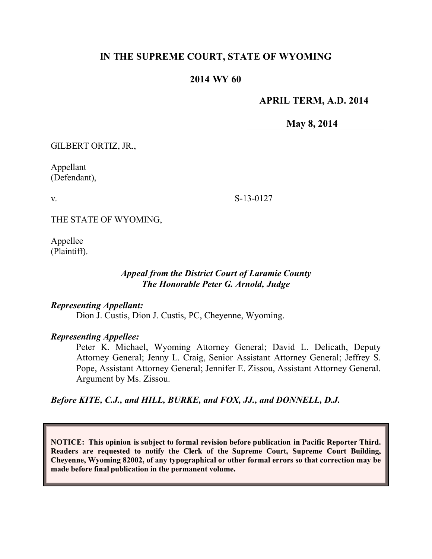### **IN THE SUPREME COURT, STATE OF WYOMING**

### **2014 WY 60**

#### **APRIL TERM, A.D. 2014**

**May 8, 2014**

GILBERT ORTIZ, JR.,

Appellant (Defendant),

v.

S-13-0127

THE STATE OF WYOMING,

Appellee (Plaintiff).

#### *Appeal from the District Court of Laramie County The Honorable Peter G. Arnold, Judge*

#### *Representing Appellant:*

Dion J. Custis, Dion J. Custis, PC, Cheyenne, Wyoming.

#### *Representing Appellee:*

Peter K. Michael, Wyoming Attorney General; David L. Delicath, Deputy Attorney General; Jenny L. Craig, Senior Assistant Attorney General; Jeffrey S. Pope, Assistant Attorney General; Jennifer E. Zissou, Assistant Attorney General. Argument by Ms. Zissou.

*Before KITE, C.J., and HILL, BURKE, and FOX, JJ., and DONNELL, D.J.*

**NOTICE: This opinion is subject to formal revision before publication in Pacific Reporter Third. Readers are requested to notify the Clerk of the Supreme Court, Supreme Court Building, Cheyenne, Wyoming 82002, of any typographical or other formal errors so that correction may be made before final publication in the permanent volume.**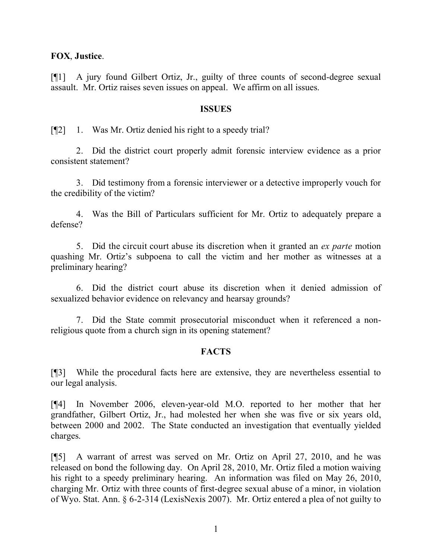#### **FOX**, **Justice**.

[¶1] A jury found Gilbert Ortiz, Jr., guilty of three counts of second-degree sexual assault. Mr. Ortiz raises seven issues on appeal. We affirm on all issues.

#### **ISSUES**

[¶2] 1. Was Mr. Ortiz denied his right to a speedy trial?

2. Did the district court properly admit forensic interview evidence as a prior consistent statement?

3. Did testimony from a forensic interviewer or a detective improperly vouch for the credibility of the victim?

4. Was the Bill of Particulars sufficient for Mr. Ortiz to adequately prepare a defense?

5. Did the circuit court abuse its discretion when it granted an *ex parte* motion quashing Mr. Ortiz's subpoena to call the victim and her mother as witnesses at a preliminary hearing?

6. Did the district court abuse its discretion when it denied admission of sexualized behavior evidence on relevancy and hearsay grounds?

7. Did the State commit prosecutorial misconduct when it referenced a nonreligious quote from a church sign in its opening statement?

#### **FACTS**

[¶3] While the procedural facts here are extensive, they are nevertheless essential to our legal analysis.

[¶4] In November 2006, eleven-year-old M.O. reported to her mother that her grandfather, Gilbert Ortiz, Jr., had molested her when she was five or six years old, between 2000 and 2002. The State conducted an investigation that eventually yielded charges.

[¶5] A warrant of arrest was served on Mr. Ortiz on April 27, 2010, and he was released on bond the following day. On April 28, 2010, Mr. Ortiz filed a motion waiving his right to a speedy preliminary hearing. An information was filed on May 26, 2010, charging Mr. Ortiz with three counts of first-degree sexual abuse of a minor, in violation of Wyo. Stat. Ann. § 6-2-314 (LexisNexis 2007). Mr. Ortiz entered a plea of not guilty to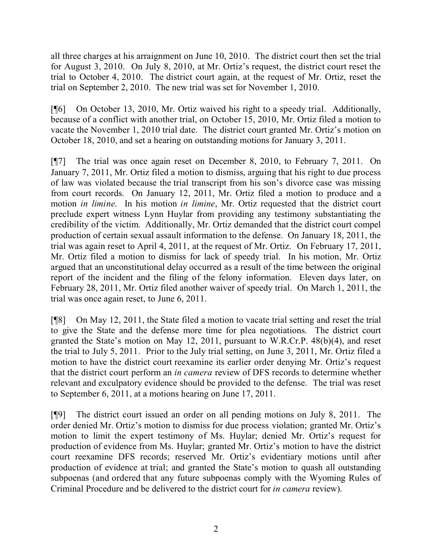all three charges at his arraignment on June 10, 2010. The district court then set the trial for August 3, 2010. On July 8, 2010, at Mr. Ortiz's request, the district court reset the trial to October 4, 2010. The district court again, at the request of Mr. Ortiz, reset the trial on September 2, 2010. The new trial was set for November 1, 2010.

[¶6] On October 13, 2010, Mr. Ortiz waived his right to a speedy trial. Additionally, because of a conflict with another trial, on October 15, 2010, Mr. Ortiz filed a motion to vacate the November 1, 2010 trial date. The district court granted Mr. Ortiz's motion on October 18, 2010, and set a hearing on outstanding motions for January 3, 2011.

[¶7] The trial was once again reset on December 8, 2010, to February 7, 2011. On January 7, 2011, Mr. Ortiz filed a motion to dismiss, arguing that his right to due process of law was violated because the trial transcript from his son's divorce case was missing from court records. On January 12, 2011, Mr. Ortiz filed a motion to produce and a motion *in limine*. In his motion *in limine*, Mr. Ortiz requested that the district court preclude expert witness Lynn Huylar from providing any testimony substantiating the credibility of the victim. Additionally, Mr. Ortiz demanded that the district court compel production of certain sexual assault information to the defense. On January 18, 2011, the trial was again reset to April 4, 2011, at the request of Mr. Ortiz. On February 17, 2011, Mr. Ortiz filed a motion to dismiss for lack of speedy trial. In his motion, Mr. Ortiz argued that an unconstitutional delay occurred as a result of the time between the original report of the incident and the filing of the felony information. Eleven days later, on February 28, 2011, Mr. Ortiz filed another waiver of speedy trial. On March 1, 2011, the trial was once again reset, to June 6, 2011.

[¶8] On May 12, 2011, the State filed a motion to vacate trial setting and reset the trial to give the State and the defense more time for plea negotiations. The district court granted the State's motion on May 12, 2011, pursuant to W.R.Cr.P. 48(b)(4), and reset the trial to July 5, 2011. Prior to the July trial setting, on June 3, 2011, Mr. Ortiz filed a motion to have the district court reexamine its earlier order denying Mr. Ortiz's request that the district court perform an *in camera* review of DFS records to determine whether relevant and exculpatory evidence should be provided to the defense. The trial was reset to September 6, 2011, at a motions hearing on June 17, 2011.

[¶9] The district court issued an order on all pending motions on July 8, 2011. The order denied Mr. Ortiz's motion to dismiss for due process violation; granted Mr. Ortiz's motion to limit the expert testimony of Ms. Huylar; denied Mr. Ortiz's request for production of evidence from Ms. Huylar; granted Mr. Ortiz's motion to have the district court reexamine DFS records; reserved Mr. Ortiz's evidentiary motions until after production of evidence at trial; and granted the State's motion to quash all outstanding subpoenas (and ordered that any future subpoenas comply with the Wyoming Rules of Criminal Procedure and be delivered to the district court for *in camera* review).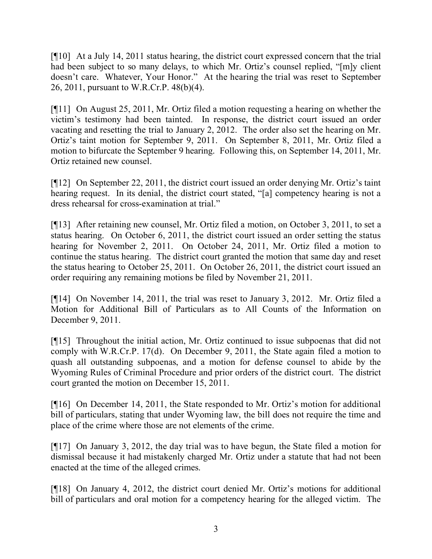[¶10] At a July 14, 2011 status hearing, the district court expressed concern that the trial had been subject to so many delays, to which Mr. Ortiz's counsel replied, "[m]y client doesn't care. Whatever, Your Honor." At the hearing the trial was reset to September 26, 2011, pursuant to W.R.Cr.P. 48(b)(4).

[¶11] On August 25, 2011, Mr. Ortiz filed a motion requesting a hearing on whether the victim's testimony had been tainted. In response, the district court issued an order vacating and resetting the trial to January 2, 2012. The order also set the hearing on Mr. Ortiz's taint motion for September 9, 2011. On September 8, 2011, Mr. Ortiz filed a motion to bifurcate the September 9 hearing. Following this, on September 14, 2011, Mr. Ortiz retained new counsel.

[¶12] On September 22, 2011, the district court issued an order denying Mr. Ortiz's taint hearing request. In its denial, the district court stated, "[a] competency hearing is not a dress rehearsal for cross-examination at trial."

[¶13] After retaining new counsel, Mr. Ortiz filed a motion, on October 3, 2011, to set a status hearing. On October 6, 2011, the district court issued an order setting the status hearing for November 2, 2011. On October 24, 2011, Mr. Ortiz filed a motion to continue the status hearing. The district court granted the motion that same day and reset the status hearing to October 25, 2011. On October 26, 2011, the district court issued an order requiring any remaining motions be filed by November 21, 2011.

[¶14] On November 14, 2011, the trial was reset to January 3, 2012. Mr. Ortiz filed a Motion for Additional Bill of Particulars as to All Counts of the Information on December 9, 2011.

[¶15] Throughout the initial action, Mr. Ortiz continued to issue subpoenas that did not comply with W.R.Cr.P. 17(d). On December 9, 2011, the State again filed a motion to quash all outstanding subpoenas, and a motion for defense counsel to abide by the Wyoming Rules of Criminal Procedure and prior orders of the district court. The district court granted the motion on December 15, 2011.

[¶16] On December 14, 2011, the State responded to Mr. Ortiz's motion for additional bill of particulars, stating that under Wyoming law, the bill does not require the time and place of the crime where those are not elements of the crime.

[¶17] On January 3, 2012, the day trial was to have begun, the State filed a motion for dismissal because it had mistakenly charged Mr. Ortiz under a statute that had not been enacted at the time of the alleged crimes.

[¶18] On January 4, 2012, the district court denied Mr. Ortiz's motions for additional bill of particulars and oral motion for a competency hearing for the alleged victim. The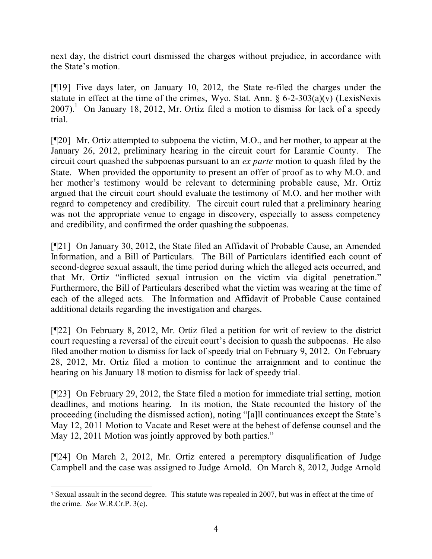next day, the district court dismissed the charges without prejudice, in accordance with the State's motion.

[¶19] Five days later, on January 10, 2012, the State re-filed the charges under the statute in effect at the time of the crimes, Wyo. Stat. Ann. § 6-2-303(a)(v) (LexisNexis  $2007$ ).<sup>1</sup> On January 18, 2012, Mr. Ortiz filed a motion to dismiss for lack of a speedy trial.

[¶20] Mr. Ortiz attempted to subpoena the victim, M.O., and her mother, to appear at the January 26, 2012, preliminary hearing in the circuit court for Laramie County. The circuit court quashed the subpoenas pursuant to an *ex parte* motion to quash filed by the State. When provided the opportunity to present an offer of proof as to why M.O. and her mother's testimony would be relevant to determining probable cause, Mr. Ortiz argued that the circuit court should evaluate the testimony of M.O. and her mother with regard to competency and credibility. The circuit court ruled that a preliminary hearing was not the appropriate venue to engage in discovery, especially to assess competency and credibility, and confirmed the order quashing the subpoenas.

[¶21] On January 30, 2012, the State filed an Affidavit of Probable Cause, an Amended Information, and a Bill of Particulars. The Bill of Particulars identified each count of second-degree sexual assault, the time period during which the alleged acts occurred, and that Mr. Ortiz "inflicted sexual intrusion on the victim via digital penetration." Furthermore, the Bill of Particulars described what the victim was wearing at the time of each of the alleged acts. The Information and Affidavit of Probable Cause contained additional details regarding the investigation and charges.

[¶22] On February 8, 2012, Mr. Ortiz filed a petition for writ of review to the district court requesting a reversal of the circuit court's decision to quash the subpoenas. He also filed another motion to dismiss for lack of speedy trial on February 9, 2012. On February 28, 2012, Mr. Ortiz filed a motion to continue the arraignment and to continue the hearing on his January 18 motion to dismiss for lack of speedy trial.

[¶23] On February 29, 2012, the State filed a motion for immediate trial setting, motion deadlines, and motions hearing. In its motion, the State recounted the history of the proceeding (including the dismissed action), noting "[a]ll continuances except the State's May 12, 2011 Motion to Vacate and Reset were at the behest of defense counsel and the May 12, 2011 Motion was jointly approved by both parties."

[¶24] On March 2, 2012, Mr. Ortiz entered a peremptory disqualification of Judge Campbell and the case was assigned to Judge Arnold. On March 8, 2012, Judge Arnold

 $\overline{a}$ 

<sup>1</sup> Sexual assault in the second degree. This statute was repealed in 2007, but was in effect at the time of the crime. *See* W.R.Cr.P. 3(c).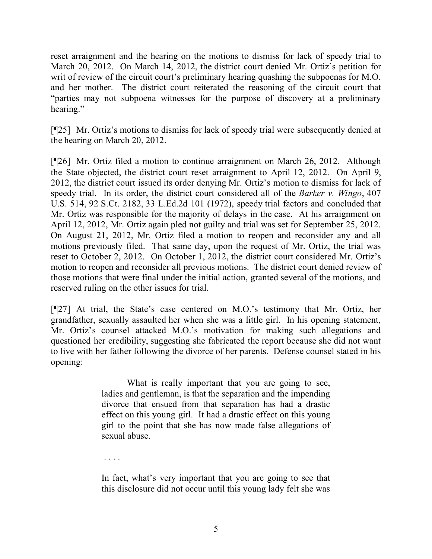reset arraignment and the hearing on the motions to dismiss for lack of speedy trial to March 20, 2012. On March 14, 2012, the district court denied Mr. Ortiz's petition for writ of review of the circuit court's preliminary hearing quashing the subpoenas for M.O. and her mother. The district court reiterated the reasoning of the circuit court that "parties may not subpoena witnesses for the purpose of discovery at a preliminary hearing."

[¶25] Mr. Ortiz's motions to dismiss for lack of speedy trial were subsequently denied at the hearing on March 20, 2012.

[¶26] Mr. Ortiz filed a motion to continue arraignment on March 26, 2012. Although the State objected, the district court reset arraignment to April 12, 2012. On April 9, 2012, the district court issued its order denying Mr. Ortiz's motion to dismiss for lack of speedy trial. In its order, the district court considered all of the *Barker v. Wingo*, 407 U.S. 514, 92 S.Ct. 2182, 33 L.Ed.2d 101 (1972), speedy trial factors and concluded that Mr. Ortiz was responsible for the majority of delays in the case. At his arraignment on April 12, 2012, Mr. Ortiz again pled not guilty and trial was set for September 25, 2012. On August 21, 2012, Mr. Ortiz filed a motion to reopen and reconsider any and all motions previously filed. That same day, upon the request of Mr. Ortiz, the trial was reset to October 2, 2012. On October 1, 2012, the district court considered Mr. Ortiz's motion to reopen and reconsider all previous motions. The district court denied review of those motions that were final under the initial action, granted several of the motions, and reserved ruling on the other issues for trial.

[¶27] At trial, the State's case centered on M.O.'s testimony that Mr. Ortiz, her grandfather, sexually assaulted her when she was a little girl. In his opening statement, Mr. Ortiz's counsel attacked M.O.'s motivation for making such allegations and questioned her credibility, suggesting she fabricated the report because she did not want to live with her father following the divorce of her parents. Defense counsel stated in his opening:

> What is really important that you are going to see, ladies and gentleman, is that the separation and the impending divorce that ensued from that separation has had a drastic effect on this young girl. It had a drastic effect on this young girl to the point that she has now made false allegations of sexual abuse.

. . . .

In fact, what's very important that you are going to see that this disclosure did not occur until this young lady felt she was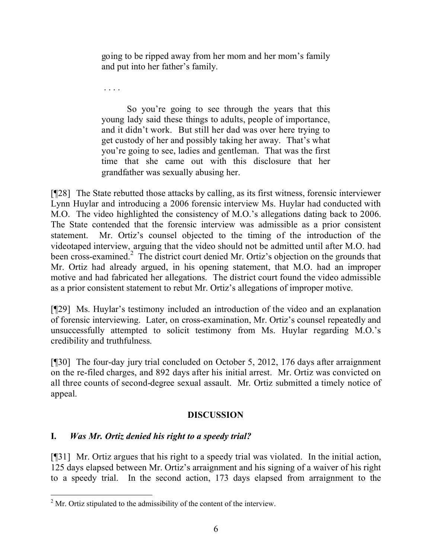going to be ripped away from her mom and her mom's family and put into her father's family.

. . . .

So you're going to see through the years that this young lady said these things to adults, people of importance, and it didn't work. But still her dad was over here trying to get custody of her and possibly taking her away. That's what you're going to see, ladies and gentleman. That was the first time that she came out with this disclosure that her grandfather was sexually abusing her.

[¶28] The State rebutted those attacks by calling, as its first witness, forensic interviewer Lynn Huylar and introducing a 2006 forensic interview Ms. Huylar had conducted with M.O. The video highlighted the consistency of M.O.'s allegations dating back to 2006. The State contended that the forensic interview was admissible as a prior consistent statement. Mr. Ortiz's counsel objected to the timing of the introduction of the videotaped interview, arguing that the video should not be admitted until after M.O. had been cross-examined.<sup>2</sup> The district court denied Mr. Ortiz's objection on the grounds that Mr. Ortiz had already argued, in his opening statement, that M.O. had an improper motive and had fabricated her allegations. The district court found the video admissible as a prior consistent statement to rebut Mr. Ortiz's allegations of improper motive.

[¶29] Ms. Huylar's testimony included an introduction of the video and an explanation of forensic interviewing. Later, on cross-examination, Mr. Ortiz's counsel repeatedly and unsuccessfully attempted to solicit testimony from Ms. Huylar regarding M.O.'s credibility and truthfulness.

[¶30] The four-day jury trial concluded on October 5, 2012, 176 days after arraignment on the re-filed charges, and 892 days after his initial arrest. Mr. Ortiz was convicted on all three counts of second-degree sexual assault. Mr. Ortiz submitted a timely notice of appeal.

# **DISCUSSION**

# **I.** *Was Mr. Ortiz denied his right to a speedy trial?*

l

[¶31] Mr. Ortiz argues that his right to a speedy trial was violated. In the initial action, 125 days elapsed between Mr. Ortiz's arraignment and his signing of a waiver of his right to a speedy trial. In the second action, 173 days elapsed from arraignment to the

 $2^{\circ}$  Mr. Ortiz stipulated to the admissibility of the content of the interview.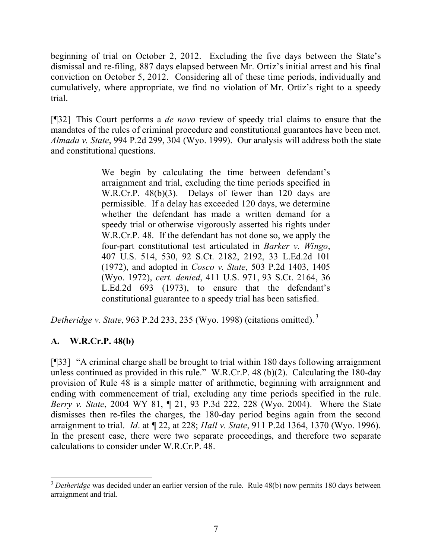beginning of trial on October 2, 2012. Excluding the five days between the State's dismissal and re-filing, 887 days elapsed between Mr. Ortiz's initial arrest and his final conviction on October 5, 2012. Considering all of these time periods, individually and cumulatively, where appropriate, we find no violation of Mr. Ortiz's right to a speedy trial.

[¶32] This Court performs a *de novo* review of speedy trial claims to ensure that the mandates of the rules of criminal procedure and constitutional guarantees have been met. *Almada v. State*, 994 P.2d 299, 304 (Wyo. 1999). Our analysis will address both the state and constitutional questions.

> We begin by calculating the time between defendant's arraignment and trial, excluding the time periods specified in W.R.Cr.P. 48(b)(3). Delays of fewer than 120 days are permissible. If a delay has exceeded 120 days, we determine whether the defendant has made a written demand for a speedy trial or otherwise vigorously asserted his rights under W.R.Cr.P. 48. If the defendant has not done so, we apply the four-part constitutional test articulated in *Barker v. Wingo*, 407 U.S. 514, 530, 92 S.Ct. 2182, 2192, 33 L.Ed.2d 101 (1972), and adopted in *Cosco v. State*, 503 P.2d 1403, 1405 (Wyo. 1972), *cert. denied*, 411 U.S. 971, 93 S.Ct. 2164, 36 L.Ed.2d 693 (1973), to ensure that the defendant's constitutional guarantee to a speedy trial has been satisfied.

*Detheridge v. State*, 963 P.2d 233, 235 (Wyo. 1998) (citations omitted). 3

# **A. W.R.Cr.P. 48(b)**

[¶33] "A criminal charge shall be brought to trial within 180 days following arraignment unless continued as provided in this rule." W.R.Cr.P. 48 (b)(2). Calculating the 180-day provision of Rule 48 is a simple matter of arithmetic, beginning with arraignment and ending with commencement of trial, excluding any time periods specified in the rule. *Berry v. State*, 2004 WY 81, ¶ 21, 93 P.3d 222, 228 (Wyo. 2004). Where the State dismisses then re-files the charges, the 180-day period begins again from the second arraignment to trial. *Id*. at ¶ 22, at 228; *Hall v. State*, 911 P.2d 1364, 1370 (Wyo. 1996). In the present case, there were two separate proceedings, and therefore two separate calculations to consider under W.R.Cr.P. 48.

l <sup>3</sup> Detheridge was decided under an earlier version of the rule. Rule 48(b) now permits 180 days between arraignment and trial.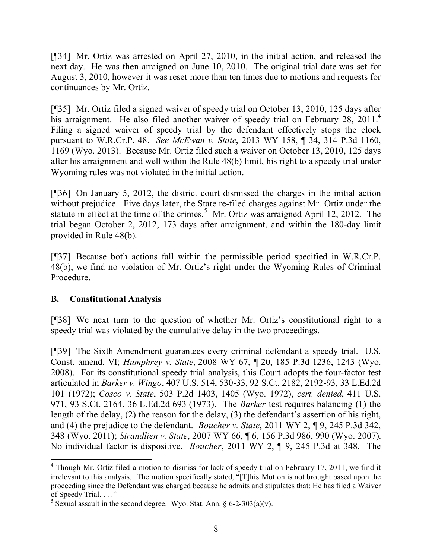[¶34] Mr. Ortiz was arrested on April 27, 2010, in the initial action, and released the next day. He was then arraigned on June 10, 2010. The original trial date was set for August 3, 2010, however it was reset more than ten times due to motions and requests for continuances by Mr. Ortiz.

[¶35] Mr. Ortiz filed a signed waiver of speedy trial on October 13, 2010, 125 days after his arraignment. He also filed another waiver of speedy trial on February 28, 2011.<sup>4</sup> Filing a signed waiver of speedy trial by the defendant effectively stops the clock pursuant to W.R.Cr.P. 48. *See McEwan v. State*, 2013 WY 158, ¶ 34, 314 P.3d 1160, 1169 (Wyo. 2013). Because Mr. Ortiz filed such a waiver on October 13, 2010, 125 days after his arraignment and well within the Rule 48(b) limit, his right to a speedy trial under Wyoming rules was not violated in the initial action.

[¶36] On January 5, 2012, the district court dismissed the charges in the initial action without prejudice. Five days later, the State re-filed charges against Mr. Ortiz under the statute in effect at the time of the crimes.<sup>5</sup> Mr. Ortiz was arraigned April 12, 2012. The trial began October 2, 2012, 173 days after arraignment, and within the 180-day limit provided in Rule 48(b).

[¶37] Because both actions fall within the permissible period specified in W.R.Cr.P. 48(b), we find no violation of Mr. Ortiz's right under the Wyoming Rules of Criminal Procedure.

### **B. Constitutional Analysis**

[¶38] We next turn to the question of whether Mr. Ortiz's constitutional right to a speedy trial was violated by the cumulative delay in the two proceedings.

[¶39] The Sixth Amendment guarantees every criminal defendant a speedy trial. U.S. Const. amend. VI; *Humphrey v. State*, 2008 WY 67, ¶ 20, 185 P.3d 1236, 1243 (Wyo. 2008). For its constitutional speedy trial analysis, this Court adopts the four-factor test articulated in *Barker v. Wingo*, 407 U.S. 514, 530-33, 92 S.Ct. 2182, 2192-93, 33 L.Ed.2d 101 (1972); *Cosco v. State*, 503 P.2d 1403, 1405 (Wyo. 1972), *cert. denied*, 411 U.S. 971, 93 S.Ct. 2164, 36 L.Ed.2d 693 (1973). The *Barker* test requires balancing (1) the length of the delay, (2) the reason for the delay, (3) the defendant's assertion of his right, and (4) the prejudice to the defendant. *Boucher v. State*, 2011 WY 2, ¶ 9, 245 P.3d 342, 348 (Wyo. 2011); *Strandlien v. State*, 2007 WY 66, ¶ 6, 156 P.3d 986, 990 (Wyo. 2007). No individual factor is dispositive. *Boucher*, 2011 WY 2, ¶ 9, 245 P.3d at 348. The

 $\overline{a}$  $4$  Though Mr. Ortiz filed a motion to dismiss for lack of speedy trial on February 17, 2011, we find it irrelevant to this analysis. The motion specifically stated, "[T]his Motion is not brought based upon the proceeding since the Defendant was charged because he admits and stipulates that: He has filed a Waiver of Speedy Trial. . . ."

<sup>&</sup>lt;sup>5</sup> Sexual assault in the second degree. Wyo. Stat. Ann. § 6-2-303(a)(v).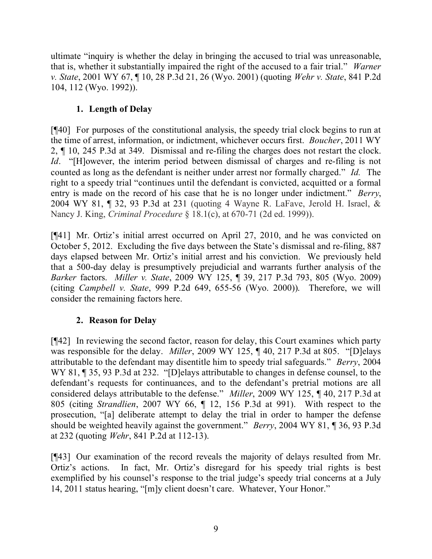ultimate "inquiry is whether the delay in bringing the accused to trial was unreasonable, that is, whether it substantially impaired the right of the accused to a fair trial." *Warner v. State*, 2001 WY 67, ¶ 10, 28 P.3d 21, 26 (Wyo. 2001) (quoting *Wehr v. State*, 841 P.2d 104, 112 (Wyo. 1992)).

# **1. Length of Delay**

[¶40] For purposes of the constitutional analysis, the speedy trial clock begins to run at the time of arrest, information, or indictment, whichever occurs first. *Boucher*, 2011 WY 2, ¶ 10, 245 P.3d at 349. Dismissal and re-filing the charges does not restart the clock. *Id*. "[H]owever, the interim period between dismissal of charges and re-filing is not counted as long as the defendant is neither under arrest nor formally charged." *Id.* The right to a speedy trial "continues until the defendant is convicted, acquitted or a formal entry is made on the record of his case that he is no longer under indictment." *Berry*, 2004 WY 81, ¶ 32, 93 P.3d at 231 (quoting 4 Wayne R. LaFave, Jerold H. Israel, & Nancy J. King, *Criminal Procedure* § 18.1(c), at 670-71 (2d ed. 1999)).

[¶41] Mr. Ortiz's initial arrest occurred on April 27, 2010, and he was convicted on October 5, 2012. Excluding the five days between the State's dismissal and re-filing, 887 days elapsed between Mr. Ortiz's initial arrest and his conviction. We previously held that a 500-day delay is presumptively prejudicial and warrants further analysis of the *Barker* factors. *Miller v. State*, 2009 WY 125, ¶ 39, 217 P.3d 793, 805 (Wyo. 2009) (citing *Campbell v. State*, 999 P.2d 649, 655-56 (Wyo. 2000)). Therefore, we will consider the remaining factors here.

# **2. Reason for Delay**

[¶42] In reviewing the second factor, reason for delay, this Court examines which party was responsible for the delay. *Miller*, 2009 WY 125, ¶ 40, 217 P.3d at 805. "[D]elays attributable to the defendant may disentitle him to speedy trial safeguards." *Berry*, 2004 WY 81,  $\P$  35, 93 P.3d at 232. "[D]elays attributable to changes in defense counsel, to the defendant's requests for continuances, and to the defendant's pretrial motions are all considered delays attributable to the defense." *Miller*, 2009 WY 125, ¶ 40, 217 P.3d at 805 (citing *Strandlien*, 2007 WY 66, ¶ 12, 156 P.3d at 991). With respect to the prosecution, "[a] deliberate attempt to delay the trial in order to hamper the defense should be weighted heavily against the government." *Berry*, 2004 WY 81, ¶ 36, 93 P.3d at 232 (quoting *Wehr*, 841 P.2d at 112-13).

[¶43] Our examination of the record reveals the majority of delays resulted from Mr. Ortiz's actions. In fact, Mr. Ortiz's disregard for his speedy trial rights is best exemplified by his counsel's response to the trial judge's speedy trial concerns at a July 14, 2011 status hearing, "[m]y client doesn't care. Whatever, Your Honor."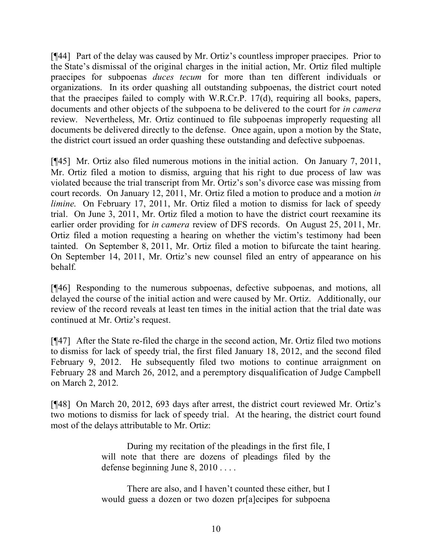[¶44] Part of the delay was caused by Mr. Ortiz's countless improper praecipes. Prior to the State's dismissal of the original charges in the initial action, Mr. Ortiz filed multiple praecipes for subpoenas *duces tecum* for more than ten different individuals or organizations. In its order quashing all outstanding subpoenas, the district court noted that the praecipes failed to comply with W.R.Cr.P. 17(d), requiring all books, papers, documents and other objects of the subpoena to be delivered to the court for *in camera* review. Nevertheless, Mr. Ortiz continued to file subpoenas improperly requesting all documents be delivered directly to the defense. Once again, upon a motion by the State, the district court issued an order quashing these outstanding and defective subpoenas.

[¶45] Mr. Ortiz also filed numerous motions in the initial action. On January 7, 2011, Mr. Ortiz filed a motion to dismiss, arguing that his right to due process of law was violated because the trial transcript from Mr. Ortiz's son's divorce case was missing from court records. On January 12, 2011, Mr. Ortiz filed a motion to produce and a motion *in limine*. On February 17, 2011, Mr. Ortiz filed a motion to dismiss for lack of speedy trial. On June 3, 2011, Mr. Ortiz filed a motion to have the district court reexamine its earlier order providing for *in camera* review of DFS records. On August 25, 2011, Mr. Ortiz filed a motion requesting a hearing on whether the victim's testimony had been tainted. On September 8, 2011, Mr. Ortiz filed a motion to bifurcate the taint hearing. On September 14, 2011, Mr. Ortiz's new counsel filed an entry of appearance on his behalf.

[¶46] Responding to the numerous subpoenas, defective subpoenas, and motions, all delayed the course of the initial action and were caused by Mr. Ortiz. Additionally, our review of the record reveals at least ten times in the initial action that the trial date was continued at Mr. Ortiz's request.

[¶47] After the State re-filed the charge in the second action, Mr. Ortiz filed two motions to dismiss for lack of speedy trial, the first filed January 18, 2012, and the second filed February 9, 2012. He subsequently filed two motions to continue arraignment on February 28 and March 26, 2012, and a peremptory disqualification of Judge Campbell on March 2, 2012.

[¶48] On March 20, 2012, 693 days after arrest, the district court reviewed Mr. Ortiz's two motions to dismiss for lack of speedy trial. At the hearing, the district court found most of the delays attributable to Mr. Ortiz:

> During my recitation of the pleadings in the first file, I will note that there are dozens of pleadings filed by the defense beginning June 8, 2010 . . . .

> There are also, and I haven't counted these either, but I would guess a dozen or two dozen pr[a]ecipes for subpoena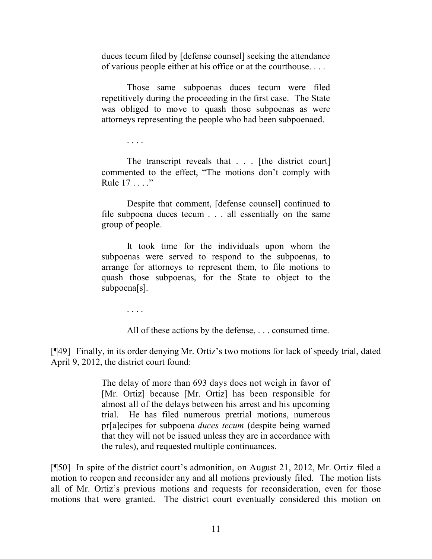duces tecum filed by [defense counsel] seeking the attendance of various people either at his office or at the courthouse. . . .

Those same subpoenas duces tecum were filed repetitively during the proceeding in the first case. The State was obliged to move to quash those subpoenas as were attorneys representing the people who had been subpoenaed.

. . . .

The transcript reveals that . . . [the district court] commented to the effect, "The motions don't comply with Rule 17 . . . ."

Despite that comment, [defense counsel] continued to file subpoena duces tecum . . . all essentially on the same group of people.

It took time for the individuals upon whom the subpoenas were served to respond to the subpoenas, to arrange for attorneys to represent them, to file motions to quash those subpoenas, for the State to object to the subpoena[s].

. . . .

All of these actions by the defense, . . . consumed time.

[¶49] Finally, in its order denying Mr. Ortiz's two motions for lack of speedy trial, dated April 9, 2012, the district court found:

> The delay of more than 693 days does not weigh in favor of [Mr. Ortiz] because [Mr. Ortiz] has been responsible for almost all of the delays between his arrest and his upcoming trial. He has filed numerous pretrial motions, numerous pr[a]ecipes for subpoena *duces tecum* (despite being warned that they will not be issued unless they are in accordance with the rules), and requested multiple continuances.

[¶50] In spite of the district court's admonition, on August 21, 2012, Mr. Ortiz filed a motion to reopen and reconsider any and all motions previously filed. The motion lists all of Mr. Ortiz's previous motions and requests for reconsideration, even for those motions that were granted. The district court eventually considered this motion on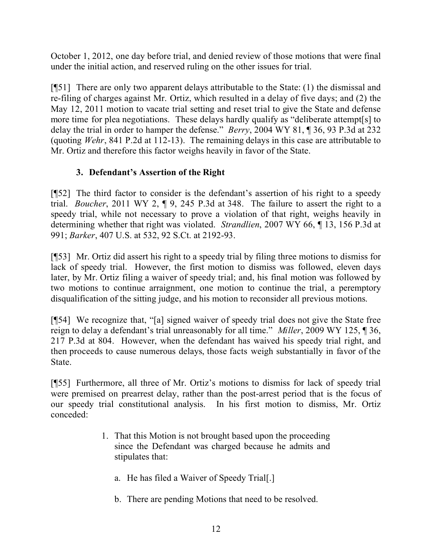October 1, 2012, one day before trial, and denied review of those motions that were final under the initial action, and reserved ruling on the other issues for trial.

[¶51] There are only two apparent delays attributable to the State: (1) the dismissal and re-filing of charges against Mr. Ortiz, which resulted in a delay of five days; and (2) the May 12, 2011 motion to vacate trial setting and reset trial to give the State and defense more time for plea negotiations. These delays hardly qualify as "deliberate attempt[s] to delay the trial in order to hamper the defense." *Berry*, 2004 WY 81, ¶ 36, 93 P.3d at 232 (quoting *Wehr*, 841 P.2d at 112-13). The remaining delays in this case are attributable to Mr. Ortiz and therefore this factor weighs heavily in favor of the State.

# **3. Defendant's Assertion of the Right**

[¶52] The third factor to consider is the defendant's assertion of his right to a speedy trial. *Boucher*, 2011 WY 2, ¶ 9, 245 P.3d at 348. The failure to assert the right to a speedy trial, while not necessary to prove a violation of that right, weighs heavily in determining whether that right was violated. *Strandlien*, 2007 WY 66, ¶ 13, 156 P.3d at 991; *Barker*, 407 U.S. at 532, 92 S.Ct. at 2192-93.

[¶53] Mr. Ortiz did assert his right to a speedy trial by filing three motions to dismiss for lack of speedy trial. However, the first motion to dismiss was followed, eleven days later, by Mr. Ortiz filing a waiver of speedy trial; and, his final motion was followed by two motions to continue arraignment, one motion to continue the trial, a peremptory disqualification of the sitting judge, and his motion to reconsider all previous motions.

[¶54] We recognize that, "[a] signed waiver of speedy trial does not give the State free reign to delay a defendant's trial unreasonably for all time." *Miller*, 2009 WY 125, ¶ 36, 217 P.3d at 804. However, when the defendant has waived his speedy trial right, and then proceeds to cause numerous delays, those facts weigh substantially in favor of the State.

[¶55] Furthermore, all three of Mr. Ortiz's motions to dismiss for lack of speedy trial were premised on prearrest delay, rather than the post-arrest period that is the focus of our speedy trial constitutional analysis. In his first motion to dismiss, Mr. Ortiz conceded:

- 1. That this Motion is not brought based upon the proceeding since the Defendant was charged because he admits and stipulates that:
	- a. He has filed a Waiver of Speedy Trial[.]
	- b. There are pending Motions that need to be resolved.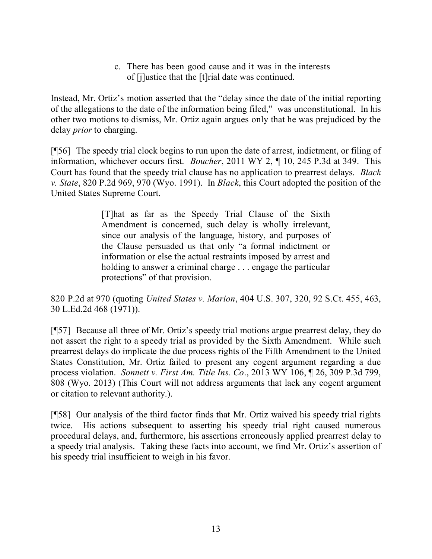c. There has been good cause and it was in the interests of [j]ustice that the [t]rial date was continued.

Instead, Mr. Ortiz's motion asserted that the "delay since the date of the initial reporting of the allegations to the date of the information being filed," was unconstitutional. In his other two motions to dismiss, Mr. Ortiz again argues only that he was prejudiced by the delay *prior* to charging.

[¶56] The speedy trial clock begins to run upon the date of arrest, indictment, or filing of information, whichever occurs first. *Boucher*, 2011 WY 2, ¶ 10, 245 P.3d at 349. This Court has found that the speedy trial clause has no application to prearrest delays. *Black v. State*, 820 P.2d 969, 970 (Wyo. 1991). In *Black*, this Court adopted the position of the United States Supreme Court.

> [T]hat as far as the Speedy Trial Clause of the Sixth Amendment is concerned, such delay is wholly irrelevant, since our analysis of the language, history, and purposes of the Clause persuaded us that only "a formal indictment or information or else the actual restraints imposed by arrest and holding to answer a criminal charge . . . engage the particular protections" of that provision.

820 P.2d at 970 (quoting *United States v. Marion*, 404 U.S. 307, 320, 92 S.Ct. 455, 463, 30 L.Ed.2d 468 (1971)).

[¶57] Because all three of Mr. Ortiz's speedy trial motions argue prearrest delay, they do not assert the right to a speedy trial as provided by the Sixth Amendment. While such prearrest delays do implicate the due process rights of the Fifth Amendment to the United States Constitution, Mr. Ortiz failed to present any cogent argument regarding a due process violation. *Sonnett v. First Am. Title Ins. Co*., 2013 WY 106, ¶ 26, 309 P.3d 799, 808 (Wyo. 2013) (This Court will not address arguments that lack any cogent argument or citation to relevant authority.).

[¶58] Our analysis of the third factor finds that Mr. Ortiz waived his speedy trial rights twice. His actions subsequent to asserting his speedy trial right caused numerous procedural delays, and, furthermore, his assertions erroneously applied prearrest delay to a speedy trial analysis. Taking these facts into account, we find Mr. Ortiz's assertion of his speedy trial insufficient to weigh in his favor.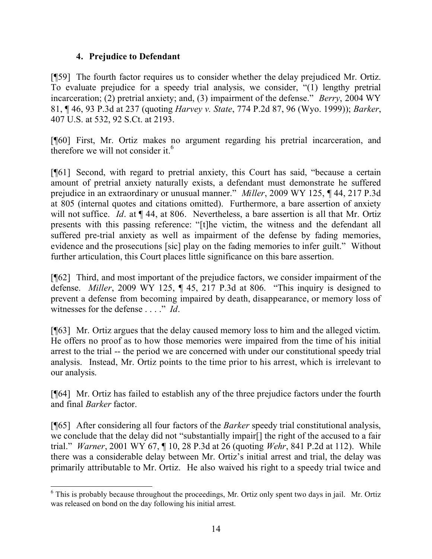### **4. Prejudice to Defendant**

[¶59] The fourth factor requires us to consider whether the delay prejudiced Mr. Ortiz. To evaluate prejudice for a speedy trial analysis, we consider, "(1) lengthy pretrial incarceration; (2) pretrial anxiety; and, (3) impairment of the defense." *Berry*, 2004 WY 81, ¶ 46, 93 P.3d at 237 (quoting *Harvey v. State*, 774 P.2d 87, 96 (Wyo. 1999)); *Barker*, 407 U.S. at 532, 92 S.Ct. at 2193.

[¶60] First, Mr. Ortiz makes no argument regarding his pretrial incarceration, and therefore we will not consider it.<sup>6</sup>

[¶61] Second, with regard to pretrial anxiety, this Court has said, "because a certain amount of pretrial anxiety naturally exists, a defendant must demonstrate he suffered prejudice in an extraordinary or unusual manner." *Miller*, 2009 WY 125, ¶ 44, 217 P.3d at 805 (internal quotes and citations omitted). Furthermore, a bare assertion of anxiety will not suffice. *Id.* at  $\P$  44, at 806. Nevertheless, a bare assertion is all that Mr. Ortiz presents with this passing reference: "[t]he victim, the witness and the defendant all suffered pre-trial anxiety as well as impairment of the defense by fading memories, evidence and the prosecutions [sic] play on the fading memories to infer guilt." Without further articulation, this Court places little significance on this bare assertion.

[¶62] Third, and most important of the prejudice factors, we consider impairment of the defense. *Miller*, 2009 WY 125, ¶ 45, 217 P.3d at 806. "This inquiry is designed to prevent a defense from becoming impaired by death, disappearance, or memory loss of witnesses for the defense . . . ." *Id*.

[¶63] Mr. Ortiz argues that the delay caused memory loss to him and the alleged victim. He offers no proof as to how those memories were impaired from the time of his initial arrest to the trial -- the period we are concerned with under our constitutional speedy trial analysis. Instead, Mr. Ortiz points to the time prior to his arrest, which is irrelevant to our analysis.

[¶64] Mr. Ortiz has failed to establish any of the three prejudice factors under the fourth and final *Barker* factor.

[¶65] After considering all four factors of the *Barker* speedy trial constitutional analysis, we conclude that the delay did not "substantially impair[] the right of the accused to a fair trial." *Warner*, 2001 WY 67, ¶ 10, 28 P.3d at 26 (quoting *Wehr*, 841 P.2d at 112). While there was a considerable delay between Mr. Ortiz's initial arrest and trial, the delay was primarily attributable to Mr. Ortiz. He also waived his right to a speedy trial twice and

 $\overline{a}$ <sup>6</sup> This is probably because throughout the proceedings, Mr. Ortiz only spent two days in jail. Mr. Ortiz was released on bond on the day following his initial arrest.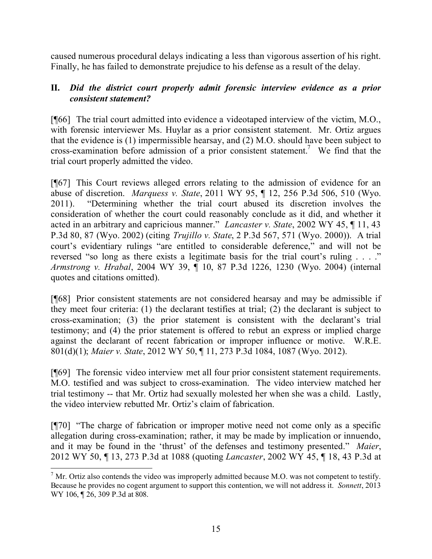caused numerous procedural delays indicating a less than vigorous assertion of his right. Finally, he has failed to demonstrate prejudice to his defense as a result of the delay.

# **II.** *Did the district court properly admit forensic interview evidence as a prior consistent statement?*

[¶66] The trial court admitted into evidence a videotaped interview of the victim, M.O., with forensic interviewer Ms. Huylar as a prior consistent statement. Mr. Ortiz argues that the evidence is (1) impermissible hearsay, and (2) M.O. should have been subject to cross-examination before admission of a prior consistent statement.<sup>7</sup> We find that the trial court properly admitted the video.

[¶67] This Court reviews alleged errors relating to the admission of evidence for an abuse of discretion. *Marquess v. State*, 2011 WY 95, ¶ 12, 256 P.3d 506, 510 (Wyo. 2011). "Determining whether the trial court abused its discretion involves the consideration of whether the court could reasonably conclude as it did, and whether it acted in an arbitrary and capricious manner." *Lancaster v. State*, 2002 WY 45, ¶ 11, 43 P.3d 80, 87 (Wyo. 2002) (citing *Trujillo v. State*, 2 P.3d 567, 571 (Wyo. 2000)). A trial court's evidentiary rulings "are entitled to considerable deference," and will not be reversed "so long as there exists a legitimate basis for the trial court's ruling . . . ." *Armstrong v. Hrabal*, 2004 WY 39, ¶ 10, 87 P.3d 1226, 1230 (Wyo. 2004) (internal quotes and citations omitted).

[¶68] Prior consistent statements are not considered hearsay and may be admissible if they meet four criteria: (1) the declarant testifies at trial; (2) the declarant is subject to cross-examination; (3) the prior statement is consistent with the declarant's trial testimony; and (4) the prior statement is offered to rebut an express or implied charge against the declarant of recent fabrication or improper influence or motive. W.R.E. 801(d)(1); *Maier v. State*, 2012 WY 50, ¶ 11, 273 P.3d 1084, 1087 (Wyo. 2012).

[¶69] The forensic video interview met all four prior consistent statement requirements. M.O. testified and was subject to cross-examination. The video interview matched her trial testimony -- that Mr. Ortiz had sexually molested her when she was a child. Lastly, the video interview rebutted Mr. Ortiz's claim of fabrication.

[¶70] "The charge of fabrication or improper motive need not come only as a specific allegation during cross-examination; rather, it may be made by implication or innuendo, and it may be found in the 'thrust' of the defenses and testimony presented." *Maier*, 2012 WY 50, ¶ 13, 273 P.3d at 1088 (quoting *Lancaster*, 2002 WY 45, ¶ 18, 43 P.3d at

l  $<sup>7</sup>$  Mr. Ortiz also contends the video was improperly admitted because M.O. was not competent to testify.</sup> Because he provides no cogent argument to support this contention, we will not address it. *Sonnett*, 2013 WY 106, ¶ 26, 309 P.3d at 808.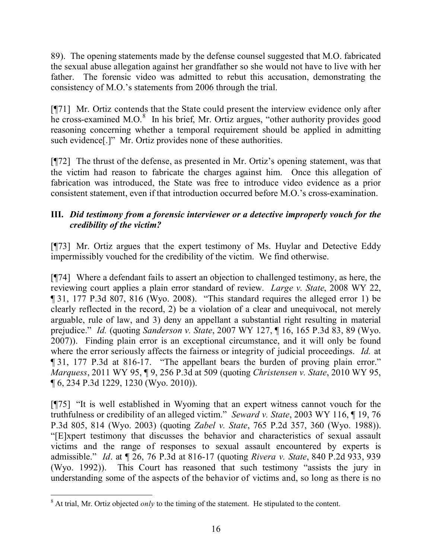89). The opening statements made by the defense counsel suggested that M.O. fabricated the sexual abuse allegation against her grandfather so she would not have to live with her father. The forensic video was admitted to rebut this accusation, demonstrating the consistency of M.O.'s statements from 2006 through the trial.

[¶71] Mr. Ortiz contends that the State could present the interview evidence only after he cross-examined M.O.<sup>8</sup> In his brief, Mr. Ortiz argues, "other authority provides good reasoning concerning whether a temporal requirement should be applied in admitting such evidence[.]" Mr. Ortiz provides none of these authorities.

[¶72] The thrust of the defense, as presented in Mr. Ortiz's opening statement, was that the victim had reason to fabricate the charges against him. Once this allegation of fabrication was introduced, the State was free to introduce video evidence as a prior consistent statement, even if that introduction occurred before M.O.'s cross-examination.

# **III.** *Did testimony from a forensic interviewer or a detective improperly vouch for the credibility of the victim?*

[¶73] Mr. Ortiz argues that the expert testimony of Ms. Huylar and Detective Eddy impermissibly vouched for the credibility of the victim. We find otherwise.

[¶74] Where a defendant fails to assert an objection to challenged testimony, as here, the reviewing court applies a plain error standard of review. *Large v. State*, 2008 WY 22, ¶ 31, 177 P.3d 807, 816 (Wyo. 2008). "This standard requires the alleged error 1) be clearly reflected in the record, 2) be a violation of a clear and unequivocal, not merely arguable, rule of law, and 3) deny an appellant a substantial right resulting in material prejudice." *Id.* (quoting *Sanderson v. State*, 2007 WY 127, ¶ 16, 165 P.3d 83, 89 (Wyo. 2007)). Finding plain error is an exceptional circumstance, and it will only be found where the error seriously affects the fairness or integrity of judicial proceedings. *Id.* at ¶ 31, 177 P.3d at 816-17. "The appellant bears the burden of proving plain error." *Marquess*, 2011 WY 95, ¶ 9, 256 P.3d at 509 (quoting *Christensen v. State*, 2010 WY 95, ¶ 6, 234 P.3d 1229, 1230 (Wyo. 2010)).

[¶75] "It is well established in Wyoming that an expert witness cannot vouch for the truthfulness or credibility of an alleged victim." *Seward v. State*, 2003 WY 116, ¶ 19, 76 P.3d 805, 814 (Wyo. 2003) (quoting *Zabel v. State*, 765 P.2d 357, 360 (Wyo. 1988)). "[E]xpert testimony that discusses the behavior and characteristics of sexual assault victims and the range of responses to sexual assault encountered by experts is admissible." *Id*. at ¶ 26, 76 P.3d at 816-17 (quoting *Rivera v. State*, 840 P.2d 933, 939 (Wyo. 1992)). This Court has reasoned that such testimony "assists the jury in understanding some of the aspects of the behavior of victims and, so long as there is no

l <sup>8</sup> At trial, Mr. Ortiz objected *only* to the timing of the statement. He stipulated to the content.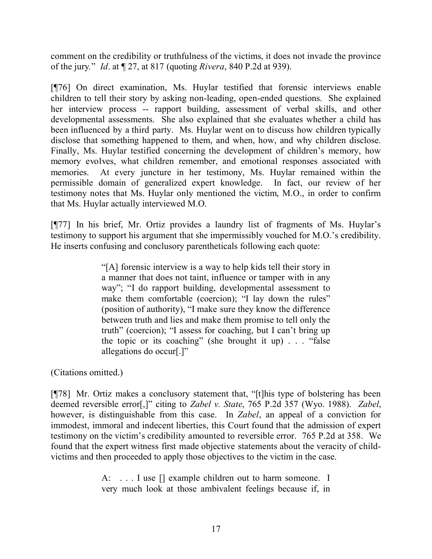comment on the credibility or truthfulness of the victims, it does not invade the province of the jury*.*" *Id*. at ¶ 27, at 817 (quoting *Rivera*, 840 P.2d at 939).

[¶76] On direct examination, Ms. Huylar testified that forensic interviews enable children to tell their story by asking non-leading, open-ended questions. She explained her interview process -- rapport building, assessment of verbal skills, and other developmental assessments. She also explained that she evaluates whether a child has been influenced by a third party. Ms. Huylar went on to discuss how children typically disclose that something happened to them, and when, how, and why children disclose. Finally, Ms. Huylar testified concerning the development of children's memory, how memory evolves, what children remember, and emotional responses associated with memories. At every juncture in her testimony, Ms. Huylar remained within the permissible domain of generalized expert knowledge. In fact, our review of her testimony notes that Ms. Huylar only mentioned the victim, M.O., in order to confirm that Ms. Huylar actually interviewed M.O.

[¶77] In his brief, Mr. Ortiz provides a laundry list of fragments of Ms. Huylar's testimony to support his argument that she impermissibly vouched for M.O.'s credibility. He inserts confusing and conclusory parentheticals following each quote:

> "[A] forensic interview is a way to help kids tell their story in a manner that does not taint, influence or tamper with in any way"; "I do rapport building, developmental assessment to make them comfortable (coercion); "I lay down the rules" (position of authority), "I make sure they know the difference between truth and lies and make them promise to tell only the truth" (coercion); "I assess for coaching, but I can't bring up the topic or its coaching" (she brought it up) . . . "false allegations do occur[.]"

(Citations omitted.)

[¶78] Mr. Ortiz makes a conclusory statement that, "[t]his type of bolstering has been deemed reversible error[,]" citing to *Zabel v. State*, 765 P.2d 357 (Wyo. 1988). *Zabel*, however, is distinguishable from this case. In *Zabel*, an appeal of a conviction for immodest, immoral and indecent liberties, this Court found that the admission of expert testimony on the victim's credibility amounted to reversible error. 765 P.2d at 358. We found that the expert witness first made objective statements about the veracity of childvictims and then proceeded to apply those objectives to the victim in the case.

> A: . . . I use [] example children out to harm someone. I very much look at those ambivalent feelings because if, in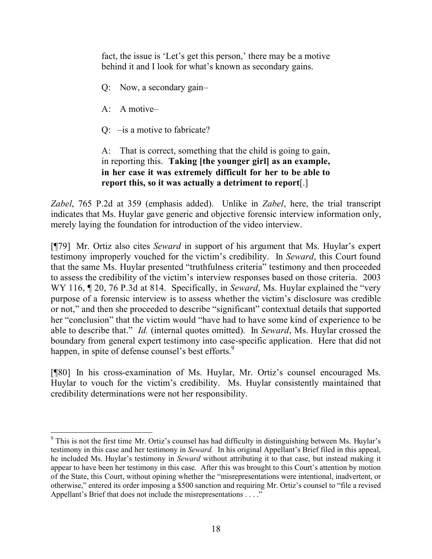fact, the issue is 'Let's get this person,' there may be a motive behind it and I look for what's known as secondary gains.

- Q: Now, a secondary gain–
- A: A motive–

 $\overline{a}$ 

Q: –is a motive to fabricate?

A: That is correct, something that the child is going to gain, in reporting this. **Taking [the younger girl] as an example, in her case it was extremely difficult for her to be able to report this, so it was actually a detriment to report**[.]

*Zabel*, 765 P.2d at 359 (emphasis added). Unlike in *Zabel*, here, the trial transcript indicates that Ms. Huylar gave generic and objective forensic interview information only, merely laying the foundation for introduction of the video interview.

[¶79] Mr. Ortiz also cites *Seward* in support of his argument that Ms. Huylar's expert testimony improperly vouched for the victim's credibility. In *Seward*, this Court found that the same Ms. Huylar presented "truthfulness criteria" testimony and then proceeded to assess the credibility of the victim's interview responses based on those criteria. 2003 WY 116,  $\sqrt{20}$ , 76 P.3d at 814. Specifically, in *Seward*, Ms. Huylar explained the "very purpose of a forensic interview is to assess whether the victim's disclosure was credible or not," and then she proceeded to describe "significant" contextual details that supported her "conclusion" that the victim would "have had to have some kind of experience to be able to describe that." *Id.* (internal quotes omitted). In *Seward*, Ms. Huylar crossed the boundary from general expert testimony into case-specific application. Here that did not happen, in spite of defense counsel's best efforts.<sup>9</sup>

[¶80] In his cross-examination of Ms. Huylar, Mr. Ortiz's counsel encouraged Ms. Huylar to vouch for the victim's credibility. Ms. Huylar consistently maintained that credibility determinations were not her responsibility.

 $9$  This is not the first time Mr. Ortiz's counsel has had difficulty in distinguishing between Ms. Huylar's testimony in this case and her testimony in *Seward.* In his original Appellant's Brief filed in this appeal, he included Ms. Huylar's testimony in *Seward* without attributing it to that case, but instead making it appear to have been her testimony in this case. After this was brought to this Court's attention by motion of the State, this Court, without opining whether the "misrepresentations were intentional, inadvertent, or otherwise," entered its order imposing a \$500 sanction and requiring Mr. Ortiz's counsel to "file a revised Appellant's Brief that does not include the misrepresentations . . . ."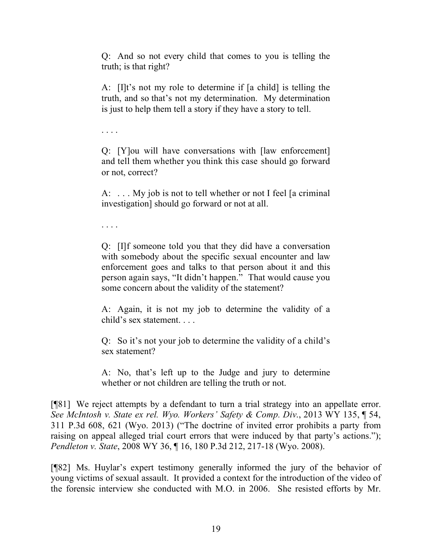Q: And so not every child that comes to you is telling the truth; is that right?

A: [I]t's not my role to determine if [a child] is telling the truth, and so that's not my determination. My determination is just to help them tell a story if they have a story to tell.

. . . .

Q: [Y]ou will have conversations with [law enforcement] and tell them whether you think this case should go forward or not, correct?

A: . . . My job is not to tell whether or not I feel [a criminal investigation] should go forward or not at all.

. . . .

Q: [I]f someone told you that they did have a conversation with somebody about the specific sexual encounter and law enforcement goes and talks to that person about it and this person again says, "It didn't happen." That would cause you some concern about the validity of the statement?

A: Again, it is not my job to determine the validity of a child's sex statement. . . .

Q: So it's not your job to determine the validity of a child's sex statement?

A: No, that's left up to the Judge and jury to determine whether or not children are telling the truth or not.

[¶81] We reject attempts by a defendant to turn a trial strategy into an appellate error. *See McIntosh v. State ex rel. Wyo. Workers' Safety & Comp. Div*., 2013 WY 135, ¶ 54, 311 P.3d 608, 621 (Wyo. 2013) ("The doctrine of invited error prohibits a party from raising on appeal alleged trial court errors that were induced by that party's actions."); *Pendleton v. State*, 2008 WY 36, ¶ 16, 180 P.3d 212, 217-18 (Wyo. 2008).

[¶82] Ms. Huylar's expert testimony generally informed the jury of the behavior of young victims of sexual assault. It provided a context for the introduction of the video of the forensic interview she conducted with M.O. in 2006. She resisted efforts by Mr.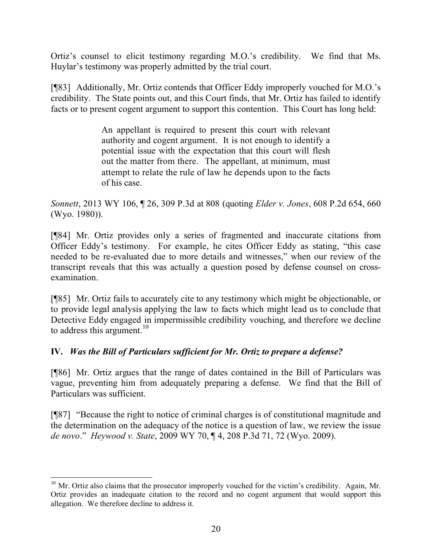Ortiz's counsel to elicit testimony regarding M.O.'s credibility. We find that Ms. Huylar's testimony was properly admitted by the trial court.

[¶83] Additionally, Mr. Ortiz contends that Officer Eddy improperly vouched for M.O.'s credibility. The State points out, and this Court finds, that Mr. Ortiz has failed to identify facts or to present cogent argument to support this contention. This Court has long held:

> An appellant is required to present this court with relevant authority and cogent argument. It is not enough to identify a potential issue with the expectation that this court will flesh out the matter from there. The appellant, at minimum, must attempt to relate the rule of law he depends upon to the facts of his case.

*Sonnett*, 2013 WY 106, ¶ 26, 309 P.3d at 808 (quoting *Elder v. Jones*, 608 P.2d 654, 660 (Wyo. 1980)).

[¶84] Mr. Ortiz provides only a series of fragmented and inaccurate citations from Officer Eddy's testimony. For example, he cites Officer Eddy as stating, "this case needed to be re-evaluated due to more details and witnesses," when our review of the transcript reveals that this was actually a question posed by defense counsel on crossexamination.

[¶85] Mr. Ortiz fails to accurately cite to any testimony which might be objectionable, or to provide legal analysis applying the law to facts which might lead us to conclude that Detective Eddy engaged in impermissible credibility vouching, and therefore we decline to address this argument.<sup>10</sup>

# **IV.** *Was the Bill of Particulars sufficient for Mr. Ortiz to prepare a defense?*

[¶86] Mr. Ortiz argues that the range of dates contained in the Bill of Particulars was vague, preventing him from adequately preparing a defense. We find that the Bill of Particulars was sufficient.

[¶87] "Because the right to notice of criminal charges is of constitutional magnitude and the determination on the adequacy of the notice is a question of law, we review the issue *de novo*." *Heywood v. State*, 2009 WY 70, ¶ 4, 208 P.3d 71, 72 (Wyo. 2009).

 $\overline{a}$  $10$  Mr. Ortiz also claims that the prosecutor improperly vouched for the victim's credibility. Again, Mr. Ortiz provides an inadequate citation to the record and no cogent argument that would support this allegation. We therefore decline to address it.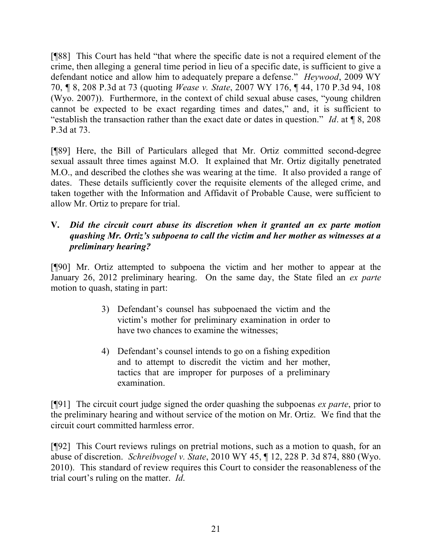[¶88] This Court has held "that where the specific date is not a required element of the crime, then alleging a general time period in lieu of a specific date, is sufficient to give a defendant notice and allow him to adequately prepare a defense." *Heywood*, 2009 WY 70, ¶ 8, 208 P.3d at 73 (quoting *Wease v. State*, 2007 WY 176, ¶ 44, 170 P.3d 94, 108 (Wyo. 2007)). Furthermore, in the context of child sexual abuse cases, "young children cannot be expected to be exact regarding times and dates," and, it is sufficient to "establish the transaction rather than the exact date or dates in question." *Id*. at ¶ 8, 208 P.3d at 73.

[¶89] Here, the Bill of Particulars alleged that Mr. Ortiz committed second-degree sexual assault three times against M.O. It explained that Mr. Ortiz digitally penetrated M.O., and described the clothes she was wearing at the time. It also provided a range of dates. These details sufficiently cover the requisite elements of the alleged crime, and taken together with the Information and Affidavit of Probable Cause, were sufficient to allow Mr. Ortiz to prepare for trial.

### **V.** *Did the circuit court abuse its discretion when it granted an ex parte motion quashing Mr. Ortiz's subpoena to call the victim and her mother as witnesses at a preliminary hearing?*

[¶90] Mr. Ortiz attempted to subpoena the victim and her mother to appear at the January 26, 2012 preliminary hearing. On the same day, the State filed an *ex parte* motion to quash, stating in part:

- 3) Defendant's counsel has subpoenaed the victim and the victim's mother for preliminary examination in order to have two chances to examine the witnesses;
- 4) Defendant's counsel intends to go on a fishing expedition and to attempt to discredit the victim and her mother, tactics that are improper for purposes of a preliminary examination.

[¶91] The circuit court judge signed the order quashing the subpoenas *ex parte*, prior to the preliminary hearing and without service of the motion on Mr. Ortiz. We find that the circuit court committed harmless error.

[¶92] This Court reviews rulings on pretrial motions, such as a motion to quash, for an abuse of discretion. *Schreibvogel v. State*, 2010 WY 45, ¶ 12, 228 P. 3d 874, 880 (Wyo. 2010). This standard of review requires this Court to consider the reasonableness of the trial court's ruling on the matter. *Id*.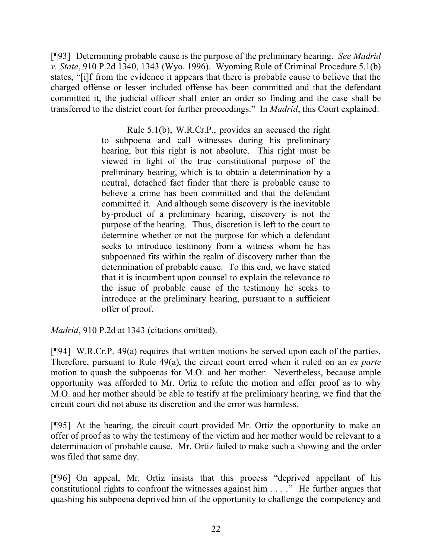[¶93] Determining probable cause is the purpose of the preliminary hearing. *See Madrid v. State*, 910 P.2d 1340, 1343 (Wyo. 1996). Wyoming Rule of Criminal Procedure 5.1(b) states, "[i]f from the evidence it appears that there is probable cause to believe that the charged offense or lesser included offense has been committed and that the defendant committed it, the judicial officer shall enter an order so finding and the case shall be transferred to the district court for further proceedings." In *Madrid*, this Court explained:

> Rule 5.1(b), W.R.Cr.P., provides an accused the right to subpoena and call witnesses during his preliminary hearing, but this right is not absolute. This right must be viewed in light of the true constitutional purpose of the preliminary hearing, which is to obtain a determination by a neutral, detached fact finder that there is probable cause to believe a crime has been committed and that the defendant committed it. And although some discovery is the inevitable by-product of a preliminary hearing, discovery is not the purpose of the hearing. Thus, discretion is left to the court to determine whether or not the purpose for which a defendant seeks to introduce testimony from a witness whom he has subpoenaed fits within the realm of discovery rather than the determination of probable cause. To this end, we have stated that it is incumbent upon counsel to explain the relevance to the issue of probable cause of the testimony he seeks to introduce at the preliminary hearing, pursuant to a sufficient offer of proof.

*Madrid*, 910 P.2d at 1343 (citations omitted).

[¶94] W.R.Cr.P. 49(a) requires that written motions be served upon each of the parties. Therefore, pursuant to Rule 49(a), the circuit court erred when it ruled on an *ex parte* motion to quash the subpoenas for M.O. and her mother. Nevertheless, because ample opportunity was afforded to Mr. Ortiz to refute the motion and offer proof as to why M.O. and her mother should be able to testify at the preliminary hearing, we find that the circuit court did not abuse its discretion and the error was harmless.

[¶95] At the hearing, the circuit court provided Mr. Ortiz the opportunity to make an offer of proof as to why the testimony of the victim and her mother would be relevant to a determination of probable cause. Mr. Ortiz failed to make such a showing and the order was filed that same day.

[¶96] On appeal, Mr. Ortiz insists that this process "deprived appellant of his constitutional rights to confront the witnesses against him . . . ." He further argues that quashing his subpoena deprived him of the opportunity to challenge the competency and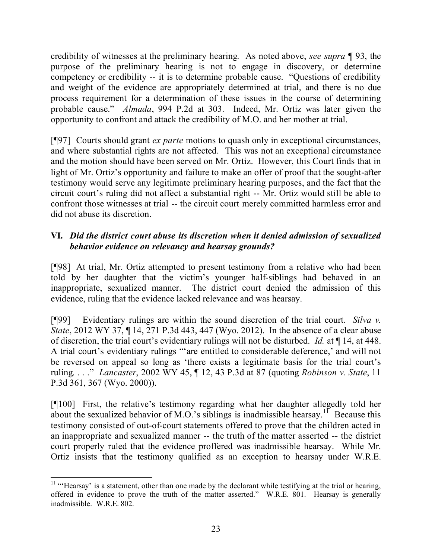credibility of witnesses at the preliminary hearing. As noted above, *see supra* ¶ 93, the purpose of the preliminary hearing is not to engage in discovery, or determine competency or credibility -- it is to determine probable cause. "Questions of credibility and weight of the evidence are appropriately determined at trial, and there is no due process requirement for a determination of these issues in the course of determining probable cause." *Almada*, 994 P.2d at 303. Indeed, Mr. Ortiz was later given the opportunity to confront and attack the credibility of M.O. and her mother at trial.

[¶97] Courts should grant *ex parte* motions to quash only in exceptional circumstances, and where substantial rights are not affected. This was not an exceptional circumstance and the motion should have been served on Mr. Ortiz. However, this Court finds that in light of Mr. Ortiz's opportunity and failure to make an offer of proof that the sought-after testimony would serve any legitimate preliminary hearing purposes, and the fact that the circuit court's ruling did not affect a substantial right -- Mr. Ortiz would still be able to confront those witnesses at trial -- the circuit court merely committed harmless error and did not abuse its discretion.

# **VI.** *Did the district court abuse its discretion when it denied admission of sexualized behavior evidence on relevancy and hearsay grounds?*

[¶98] At trial, Mr. Ortiz attempted to present testimony from a relative who had been told by her daughter that the victim's younger half-siblings had behaved in an inappropriate, sexualized manner. The district court denied the admission of this evidence, ruling that the evidence lacked relevance and was hearsay.

[¶99] Evidentiary rulings are within the sound discretion of the trial court. *Silva v. State*, 2012 WY 37, 14, 271 P.3d 443, 447 (Wyo. 2012). In the absence of a clear abuse of discretion, the trial court's evidentiary rulings will not be disturbed. *Id.* at ¶ 14, at 448. A trial court's evidentiary rulings "'are entitled to considerable deference,' and will not be reversed on appeal so long as 'there exists a legitimate basis for the trial court's ruling. . . ." *Lancaster*, 2002 WY 45, ¶ 12, 43 P.3d at 87 (quoting *Robinson v. State*, 11 P.3d 361, 367 (Wyo. 2000)).

[¶100] First, the relative's testimony regarding what her daughter allegedly told her about the sexualized behavior of M.O.'s siblings is inadmissible hearsay.<sup>11</sup> Because this testimony consisted of out-of-court statements offered to prove that the children acted in an inappropriate and sexualized manner -- the truth of the matter asserted -- the district court properly ruled that the evidence proffered was inadmissible hearsay. While Mr. Ortiz insists that the testimony qualified as an exception to hearsay under W.R.E.

 $\overline{a}$ <sup>11</sup> "'Hearsay' is a statement, other than one made by the declarant while testifying at the trial or hearing, offered in evidence to prove the truth of the matter asserted." W.R.E. 801. Hearsay is generally inadmissible. W.R.E. 802.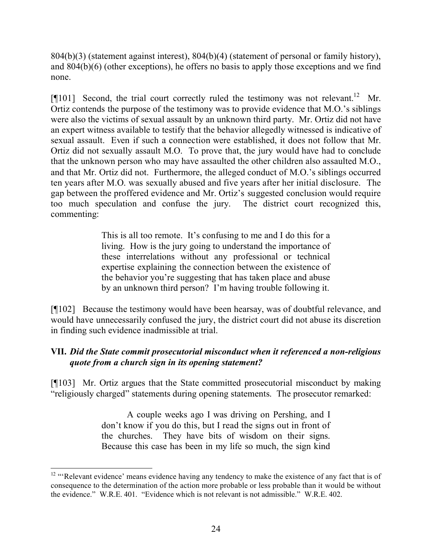804(b)(3) (statement against interest), 804(b)(4) (statement of personal or family history), and 804(b)(6) (other exceptions), he offers no basis to apply those exceptions and we find none.

[ $[$ [101] Second, the trial court correctly ruled the testimony was not relevant.<sup>12</sup> Mr. Ortiz contends the purpose of the testimony was to provide evidence that M.O.'s siblings were also the victims of sexual assault by an unknown third party. Mr. Ortiz did not have an expert witness available to testify that the behavior allegedly witnessed is indicative of sexual assault. Even if such a connection were established, it does not follow that Mr. Ortiz did not sexually assault M.O. To prove that, the jury would have had to conclude that the unknown person who may have assaulted the other children also assaulted M.O., and that Mr. Ortiz did not. Furthermore, the alleged conduct of M.O.'s siblings occurred ten years after M.O. was sexually abused and five years after her initial disclosure. The gap between the proffered evidence and Mr. Ortiz's suggested conclusion would require too much speculation and confuse the jury. The district court recognized this, commenting:

> This is all too remote. It's confusing to me and I do this for a living. How is the jury going to understand the importance of these interrelations without any professional or technical expertise explaining the connection between the existence of the behavior you're suggesting that has taken place and abuse by an unknown third person? I'm having trouble following it.

[¶102] Because the testimony would have been hearsay, was of doubtful relevance, and would have unnecessarily confused the jury, the district court did not abuse its discretion in finding such evidence inadmissible at trial.

# **VII.** *Did the State commit prosecutorial misconduct when it referenced a non-religious quote from a church sign in its opening statement?*

[¶103] Mr. Ortiz argues that the State committed prosecutorial misconduct by making "religiously charged" statements during opening statements. The prosecutor remarked:

> A couple weeks ago I was driving on Pershing, and I don't know if you do this, but I read the signs out in front of the churches. They have bits of wisdom on their signs. Because this case has been in my life so much, the sign kind

l

 $12$  "Relevant evidence' means evidence having any tendency to make the existence of any fact that is of consequence to the determination of the action more probable or less probable than it would be without the evidence." W.R.E. 401. "Evidence which is not relevant is not admissible." W.R.E. 402.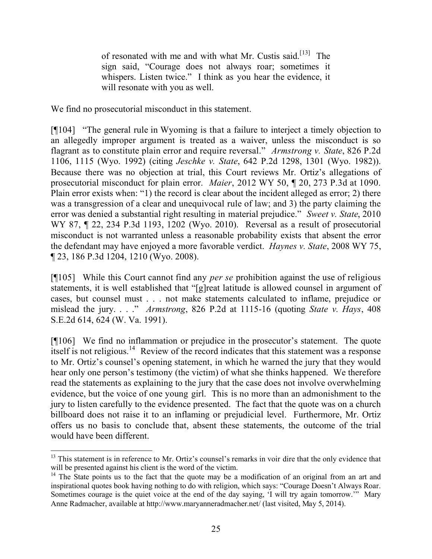of resonated with me and with what Mr. Custis said.<sup>[13]</sup> The sign said, "Courage does not always roar; sometimes it whispers. Listen twice." I think as you hear the evidence, it will resonate with you as well.

We find no prosecutorial misconduct in this statement.

[¶104] "The general rule in Wyoming is that a failure to interject a timely objection to an allegedly improper argument is treated as a waiver, unless the misconduct is so flagrant as to constitute plain error and require reversal." *Armstrong v. State*, 826 P.2d 1106, 1115 (Wyo. 1992) (citing *Jeschke v. State*, 642 P.2d 1298, 1301 (Wyo. 1982)). Because there was no objection at trial, this Court reviews Mr. Ortiz's allegations of prosecutorial misconduct for plain error. *Maier*, 2012 WY 50, ¶ 20, 273 P.3d at 1090. Plain error exists when: "1) the record is clear about the incident alleged as error; 2) there was a transgression of a clear and unequivocal rule of law; and 3) the party claiming the error was denied a substantial right resulting in material prejudice." *Sweet v. State*, 2010 WY 87, ¶ 22, 234 P.3d 1193, 1202 (Wyo. 2010). Reversal as a result of prosecutorial misconduct is not warranted unless a reasonable probability exists that absent the error the defendant may have enjoyed a more favorable verdict. *Haynes v. State*, 2008 WY 75, ¶ 23, 186 P.3d 1204, 1210 (Wyo. 2008).

[¶105] While this Court cannot find any *per se* prohibition against the use of religious statements, it is well established that "[g]reat latitude is allowed counsel in argument of cases, but counsel must . . . not make statements calculated to inflame, prejudice or mislead the jury. . . ." *Armstrong*, 826 P.2d at 1115-16 (quoting *State v. Hays*, 408 S.E.2d 614, 624 (W. Va. 1991).

[¶106] We find no inflammation or prejudice in the prosecutor's statement. The quote itself is not religious.<sup>14</sup> Review of the record indicates that this statement was a response to Mr. Ortiz's counsel's opening statement, in which he warned the jury that they would hear only one person's testimony (the victim) of what she thinks happened. We therefore read the statements as explaining to the jury that the case does not involve overwhelming evidence, but the voice of one young girl. This is no more than an admonishment to the jury to listen carefully to the evidence presented. The fact that the quote was on a church billboard does not raise it to an inflaming or prejudicial level. Furthermore, Mr. Ortiz offers us no basis to conclude that, absent these statements, the outcome of the trial would have been different.

 $\overline{a}$ <sup>13</sup> This statement is in reference to Mr. Ortiz's counsel's remarks in voir dire that the only evidence that will be presented against his client is the word of the victim.

 $14$  The State points us to the fact that the quote may be a modification of an original from an art and inspirational quotes book having nothing to do with religion, which says: "Courage Doesn't Always Roar. Sometimes courage is the quiet voice at the end of the day saying, 'I will try again tomorrow.'" Mary Anne Radmacher, available at http://www.maryanneradmacher.net/ (last visited, May 5, 2014).